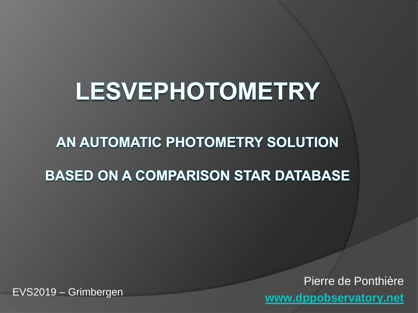## **LESVEPHOTOMETRY**

AN AUTOMATIC PHOTOMETRY SOLUTION

**BASED ON A COMPARISON STAR DATABASE** 

Pierre de Ponthière **[www.dppobservatory.net](http://www.dppobservatory.net/)** EVS2019 – Grimbergen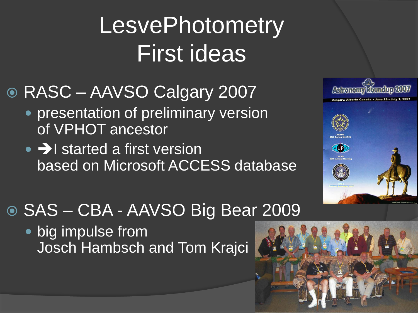# **LesvePhotometry** First ideas

- RASC AAVSO Calgary 2007
	- **presentation of preliminary version** of VPHOT ancestor
	- $\bullet$   $\rightarrow$  I started a first version based on Microsoft ACCESS database



• big impulse from Josch Hambsch and Tom Krajci



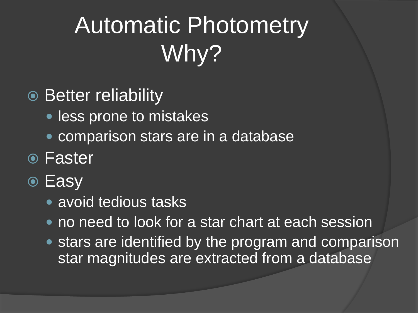# Automatic Photometry Why?

### **■ Better reliability**

- less prone to mistakes
- comparison stars are in a database
- Faster
- **■** Easy
	- avoid tedious tasks
	- no need to look for a star chart at each session
	- stars are identified by the program and comparison star magnitudes are extracted from a database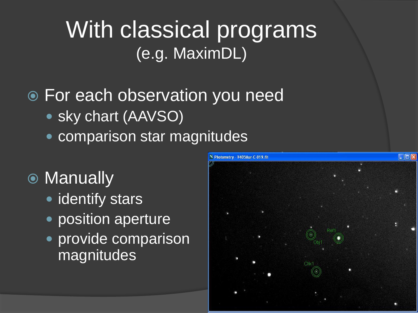## With classical programs (e.g. MaximDL)

### For each observation you need

- sky chart (AAVSO)
- comparison star magnitudes

### ● Manually

- identify stars
- position aperture
- provide comparison magnitudes

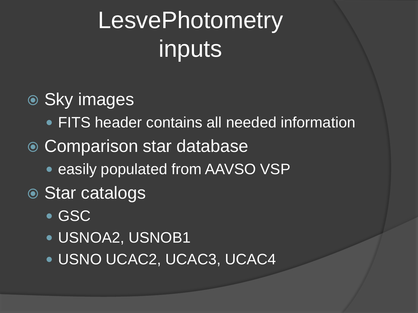# **LesvePhotometry** inputs

### **.** Sky images

- FITS header contains all needed information
- **Comparison star database** 
	- **easily populated from AAVSO VSP**

### Star catalogs

- GSC
- USNOA2, USNOB1
- USNO UCAC2, UCAC3, UCAC4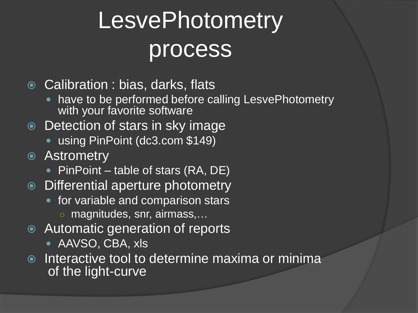# **LesvePhotometry** process

**◎** Calibration : bias, darks, flats

- have to be performed before calling LesvePhotometry with your favorite software
- Detection of stars in sky image
	- using PinPoint (dc3.com \$149)
- Astrometry
	- PinPoint table of stars (RA, DE)
- Differential aperture photometry
	- for variable and comparison stars ○ magnitudes, snr, airmass,…
- Automatic generation of reports
	- AAVSO, CBA, xls
- $\circ$  Interactive tool to determine maxima or minima of the light-curve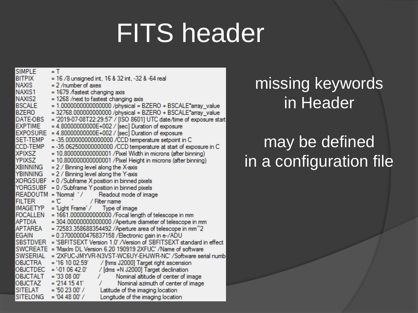# FITS header

| <b>SIMPLE</b>   | = T                                                                          |
|-----------------|------------------------------------------------------------------------------|
| <b>BITPIX</b>   | = 16 /8 unsigned int, 16 & 32 int, -32 & -64 real                            |
| NAXIS           | $= 2$ /number of axes                                                        |
| NAXIS1          | = 1679 /fastest changing axis                                                |
| NAXIS2          | = 1268 /next to fastest changing axis                                        |
| <b>BSCALE</b>   | = 1.0000000000000000 /physical = BZERO + BSCALE*array_value                  |
| <b>BZERO</b>    | = 32768.000000000000 /physical = BZERO + BSCALE*array_value                  |
| DATE-OBS        | = '2019-07-08T22:29:57' / [ISO 8601] UTC date/time of exposure start         |
| <b>EXPTIME</b>  | = 4.80000000000E+002 / [sec] Duration of exposure                            |
| <b>EXPOSURE</b> | = 4.80000000000E+002 / [sec] Duration of exposure                            |
| SET-TEMP        | = -35.000000000000000 /CCD temperature setpoint in C                         |
| CCD-TEMP        | = -35.062500000000000 /CCD temperature at start of exposure in C             |
| <b>XPIXSZ</b>   | = 10.800000000000001 / Pixel Width in microns (after binning)                |
| YPIXSZ          | = 10.800000000000001 / Pixel Height in microns (after binning)               |
| XBINNING        | = 2 / Binning level along the X-axis                                         |
| YBINNING        | = 2 / Binning level along the Y-axis                                         |
| <b>XORGSUBF</b> | = 0 / Subframe X position in binned pixels                                   |
| <b>YORGSUBF</b> | = 0 / Subframe Y position in binned pixels                                   |
| READOUTM        | $=$ 'Normal' /<br>Readout mode of image                                      |
| <b>FILTER</b>   | = 10<br>/ Filter name                                                        |
| <b>IMAGETYP</b> | = 'Light Frame' / Type of image                                              |
| FOCALLEN        | = 1661.0000000000000 /Focal length of telescope in mm                        |
| <b>APTDIA</b>   | = 304.00000000000000 / Aperture diameter of telescope in mm                  |
| APTAREA         | $= 72583.358688354492$ /Aperture area of telescope in mm <sup>2</sup> 2      |
| <b>EGAIN</b>    | = 0.37000000476837158 /Electronic gain in e-/ADU                             |
|                 | SBSTDVER = 'SBFITSEXT Version 1.0' / Version of SBFITSEXT standard in effect |
|                 | SWCREATE = 'Maxlm DL Version 6.20 190919 2XFUC' /Name of software            |
| <b>SWSERIAL</b> | = "2XFUC-JMYVR-N3VST-WC6UY-EHJWR-NC" / Software serial numb                  |
| OBJCTRA         | / [hms J2000] Target right ascension<br>= '16 10 02.59'                      |
| OBJCTDEC        | $=$ '-01 06 42.0'<br>/ [dms +N J2000] Target declination                     |
| OBJCTALT        | $= '330800'$<br>Nominal altitude of center of image<br>7.                    |
| OBJCTAZ         | $= 2141541'$<br>Nominal azimuth of center of image                           |
| <b>SITELAT</b>  | $= 502300'$<br>Latitude of the imaging location                              |
| <b>SITELONG</b> | $= 044800'$<br>Longitude of the imaging location                             |

### missing keywords in Header

### may be defined in a configuration file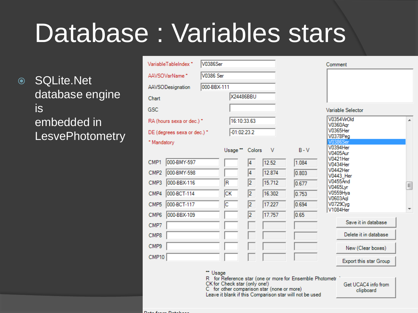# Database : Variables stars

**◎ SQLite.Net** database engine is embedded in **LesvePhotometry** 

| Variable I ableIndex`           | V0386Ser         |                               |                |                                            |                                                                                                                     | Comment                            |   |
|---------------------------------|------------------|-------------------------------|----------------|--------------------------------------------|---------------------------------------------------------------------------------------------------------------------|------------------------------------|---|
| AAVSOVarName*                   | <b>V0386 Ser</b> |                               |                |                                            |                                                                                                                     |                                    |   |
| AAVSODesignation                | 000-BBX-111      |                               |                |                                            |                                                                                                                     |                                    |   |
| Chart                           |                  |                               | X24486BBU      |                                            |                                                                                                                     |                                    |   |
| GSC                             |                  |                               |                |                                            |                                                                                                                     | Variable Selector                  |   |
| RA (hours sexa or dec.) *       |                  |                               | 16:10:33.63    |                                            |                                                                                                                     | V0354VirOld                        | ┻ |
| DE (degrees sexa or dec.) *     |                  | $-01:02:23.2$                 |                |                                            |                                                                                                                     | V0360Agr<br>V0365Her               |   |
| * Mandatory                     |                  |                               |                |                                            |                                                                                                                     | <b>V0378Peg</b><br><b>V0386Ser</b> |   |
|                                 |                  | Usage ** Colors               |                | V                                          | $B - V$                                                                                                             | V0394Her<br><b>V0405Aur</b>        |   |
| 000-BMY-597<br>CMP1             |                  |                               | 4              | 12.52                                      | 1.084                                                                                                               | V0421Her<br>V0434Her               |   |
| 000-BMY-598<br>CMP <sub>2</sub> |                  |                               | 4              | 12.874                                     | 0.803                                                                                                               | V0442Her<br>V0443 Her              |   |
| 000-BBX-116<br>CMP3             |                  | R                             | $\overline{2}$ | 15.712                                     | 0.677                                                                                                               | <b>V0455And</b><br><b>V0465Lyr</b> | 틔 |
| 000-BCT-114<br>CMP4             |                  | СK                            | $\overline{2}$ | 16.302                                     | 0.753                                                                                                               | V0559Hya<br>V0603Aql               |   |
| 000-BCT-117<br>CMP <sub>5</sub> |                  | c                             | $\overline{2}$ | 17.227                                     | 0.694                                                                                                               | V0729Cyg<br>V1084Her               | ٠ |
| 000-BBX-109<br>CMP <sub>6</sub> |                  |                               | $\overline{2}$ | 17.757                                     | 0.65                                                                                                                |                                    |   |
| CMP7                            |                  |                               |                |                                            |                                                                                                                     | Save it in database                |   |
| CMP8                            |                  |                               |                |                                            |                                                                                                                     | Delete it in database              |   |
| CMP9                            |                  |                               |                |                                            |                                                                                                                     | New (Clear boxes)                  |   |
| CMP10                           |                  |                               |                |                                            |                                                                                                                     | Export this star Group             |   |
|                                 | ** Usage         |                               |                |                                            |                                                                                                                     |                                    |   |
|                                 |                  | CK for Check star (only one!) |                | C for other comparison star (none or more) | R for Reference star (one or more for Ensemble Photometr<br>Leave it blank if this Comparison star will not be used | Get UCAC4 info from<br>clipboard   |   |
|                                 |                  |                               |                |                                            |                                                                                                                     |                                    |   |

 $D_{n+1}$   $D_{n+1}$   $D_{n+1}$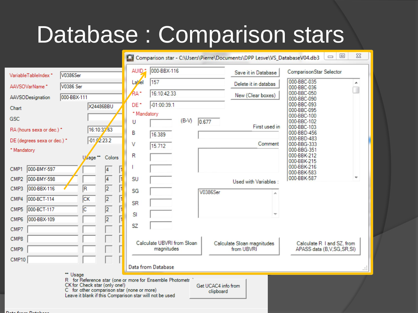# Database : Comparison stars

|                                 |                                                                                                                                                                                                                |                  |                                          |         |                                  | Comparison star - C:\Users\Pierre\Documents\DPP Lesve\VS_DatabaseV04.db3 | $\Box$                                                  | $\Sigma$<br>$\boxed{\square}$ |
|---------------------------------|----------------------------------------------------------------------------------------------------------------------------------------------------------------------------------------------------------------|------------------|------------------------------------------|---------|----------------------------------|--------------------------------------------------------------------------|---------------------------------------------------------|-------------------------------|
| VariableTableIndex *            | <b>V0386Ser</b>                                                                                                                                                                                                | <b>AUID</b>      | 000-BBX-116                              |         |                                  | Save it in Database                                                      | ComparisonStar Selector                                 |                               |
| AAVSOVarName <sup>*</sup>       | <b>V0386 Ser</b>                                                                                                                                                                                               | Lakel            | 157                                      |         |                                  | Delete it in databas                                                     | 000-BBC-035<br>000-BBC-036                              | ┻                             |
| AAVSODesignation                | 000-BBX-111                                                                                                                                                                                                    | RA <sup>-</sup>  | 16:10:42.33                              |         |                                  | New (Clear boxes)                                                        | 000-BBC-050<br>000-BBC-090                              |                               |
| Chart                           | <b>X24486BBU</b>                                                                                                                                                                                               | DE <sup>+</sup>  | $-01:00:39.1$                            |         |                                  |                                                                          | 000-BBC-093<br>000-BBC-095                              |                               |
| <b>GSC</b>                      |                                                                                                                                                                                                                | * Mandatory<br>U |                                          | $(B-V)$ | 0.677                            |                                                                          | 000-BBC-100<br>000-BBC-102                              |                               |
| RA (hours sexa or dec.) *       | 16:10:37.63                                                                                                                                                                                                    | B                | 16.389                                   |         |                                  | First used in                                                            | 000-BBC-103<br>000-BBD-456                              |                               |
| DE (degrees sexa or dec.) *     | $-01:72:23.2$                                                                                                                                                                                                  | V                | 15.712                                   |         |                                  | Comment                                                                  | 000-BBD-483<br>000-BBG-333                              |                               |
| * Mandatory                     | Usage ** Colors                                                                                                                                                                                                | R                |                                          |         |                                  |                                                                          | 000-BBG-351<br>000-BBK-212                              |                               |
| 000-BMY-597<br>CMP1             | $\overline{4}$<br>I                                                                                                                                                                                            |                  |                                          |         |                                  |                                                                          | 000-BBK-215<br>000-BBK-216                              |                               |
| 000-BMY-598<br>CMP <sub>2</sub> | ß<br>$\overline{4}$                                                                                                                                                                                            | <b>SU</b>        |                                          |         |                                  | Used with Variables:                                                     | 000-BBK-583<br>000-BBK-587                              |                               |
| 000-BBX-116<br>CMP3             | $\overline{2}$<br>ħ<br>R                                                                                                                                                                                       | SG               |                                          |         | <b>V0386Ser</b>                  |                                                                          |                                                         |                               |
| 000-BCT-114<br>CMP4             | $\overline{2}$<br>ß<br>$\overline{\text{CK}}$                                                                                                                                                                  | <b>SR</b>        |                                          |         |                                  |                                                                          |                                                         |                               |
| CMP <sub>5</sub><br>000-BCT-117 | $\overline{2}$<br>R<br>C                                                                                                                                                                                       | SI               |                                          |         |                                  |                                                                          |                                                         |                               |
| 000-BBX-109<br>CMP6             | $\overline{2}$<br>F                                                                                                                                                                                            | SZ               |                                          |         |                                  |                                                                          |                                                         |                               |
| CMP7                            |                                                                                                                                                                                                                |                  |                                          |         |                                  |                                                                          |                                                         |                               |
| CMP8<br>CMP9                    |                                                                                                                                                                                                                |                  | Calculate UBVRI from Sloan<br>magnitudes |         |                                  | Calculate Sloan magnitudes<br>from UBVRI                                 | Calculate R I and SZ, from<br>APASS data (B,V,SG,SR,SI) |                               |
| CMP10                           |                                                                                                                                                                                                                |                  |                                          |         |                                  |                                                                          |                                                         |                               |
|                                 |                                                                                                                                                                                                                |                  | Data from Database                       |         |                                  |                                                                          |                                                         | Ш                             |
|                                 | ** Usage<br>R for Reference star (one or more for Ensemble Photometr<br>CK for Check star (only one!)<br>C for other comparison star (none or more)<br>Leave it blank if this Comparison star will not be used |                  |                                          |         | Get UCAC4 info from<br>clipboard |                                                                          |                                                         |                               |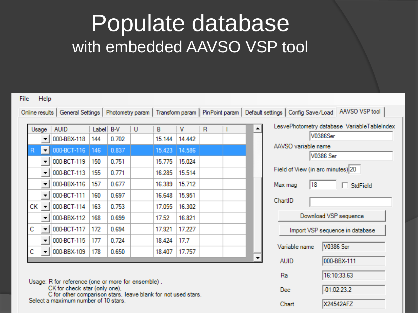## Populate database with embedded AAVSO VSP tool

|                               |             |       |       |   |        |        |   |  |                                   | Online results   General Settings   Photometry param   Transform param   PinPoint param   Default settings   Config Save/Load   AAVSO VSP tool |
|-------------------------------|-------------|-------|-------|---|--------|--------|---|--|-----------------------------------|------------------------------------------------------------------------------------------------------------------------------------------------|
| Usage                         | <b>AUID</b> | Label | B-V   | U | в      | ٧      | R |  |                                   | LesvePhotometry database VariableTableIndex                                                                                                    |
|                               | 000-BBX-118 | 144   | 0.702 |   | 15.144 | 14.442 |   |  |                                   | V0386Ser                                                                                                                                       |
| R<br>$\blacktriangledown$     | 000-BCT-116 | 146   | 0.837 |   | 15.423 | 14.586 |   |  | AAVSO variable name               | V0386 Ser                                                                                                                                      |
|                               | 000-BCT-119 | 150   | 0.751 |   | 15.775 | 15.024 |   |  |                                   |                                                                                                                                                |
| $\overline{\phantom{a}}$      | 000-BCT-113 | 155   | 0.771 |   | 16.285 | 15.514 |   |  | Field of View (in arc minutes) 20 |                                                                                                                                                |
| $\overline{\phantom{a}}$      | 000-BBX-116 | 157   | 0.677 |   | 16.389 | 15.712 |   |  | 18<br>Max mag                     | $\Box$ StdField                                                                                                                                |
| ▼                             | 000-BCT-111 | 160   | 0.697 |   | 16.648 | 15.951 |   |  | ChartID                           |                                                                                                                                                |
| $CK -$                        | 000-BCT-114 | 163   | 0.753 |   | 17.055 | 16.302 |   |  |                                   |                                                                                                                                                |
| ▼                             | 000-BBX-112 | 168   | 0.699 |   | 17.52  | 16.821 |   |  |                                   | Download VSP sequence                                                                                                                          |
| с<br>$\overline{\phantom{a}}$ | 000-BCT-117 | 172   | 0.694 |   | 17.921 | 17.227 |   |  |                                   | Import VSP sequence in database                                                                                                                |
| $\overline{\phantom{a}}$      | 000-BCT-115 | 177   | 0.724 |   | 18.424 | 17.7   |   |  |                                   |                                                                                                                                                |
| с<br>$\blacktriangledown$     | 000-BBX-109 | 178   | 0.650 |   | 18.407 | 17.757 |   |  | Variable name                     | V0386 Ser                                                                                                                                      |

Usage: R for reference (one or more for ensemble),

CK for check star (only one),

C for other comparison stars, leave blank for not used stars. Select a maximum number of 10 stars.

| ww.ad validdie lidirie           |                                 |  |  |  |  |  |  |
|----------------------------------|---------------------------------|--|--|--|--|--|--|
|                                  | V0386 Ser                       |  |  |  |  |  |  |
| ield of View (in arc minutes) 20 |                                 |  |  |  |  |  |  |
| 18<br>lax mag                    | $\Box$ StdField                 |  |  |  |  |  |  |
| ChartID                          |                                 |  |  |  |  |  |  |
|                                  | Download VSP sequence           |  |  |  |  |  |  |
|                                  | Import VSP sequence in database |  |  |  |  |  |  |
| Variable name                    | V0386 Ser                       |  |  |  |  |  |  |
| <b>AUID</b>                      | 000-BBX-111                     |  |  |  |  |  |  |
| Ra                               | 16:10:33.63                     |  |  |  |  |  |  |
| Dec                              | $-01:02:23.2$                   |  |  |  |  |  |  |
| Chart                            | X24542AFZ                       |  |  |  |  |  |  |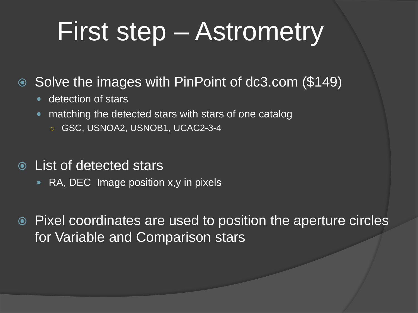# First step – Astrometry

#### ● Solve the images with PinPoint of dc3.com (\$149)

- detection of stars
- matching the detected stars with stars of one catalog
	- GSC, USNOA2, USNOB1, UCAC2-3-4
- List of detected stars
	- RA, DEC Image position x, y in pixels

 Pixel coordinates are used to position the aperture circles for Variable and Comparison stars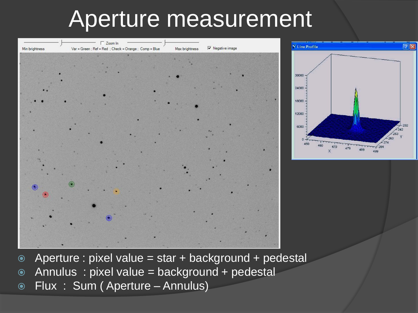## Aperture measurement



- Aperture : pixel value = star + background + pedestal
- Annulus : pixel value = background + pedestal
- Flux : Sum ( Aperture Annulus)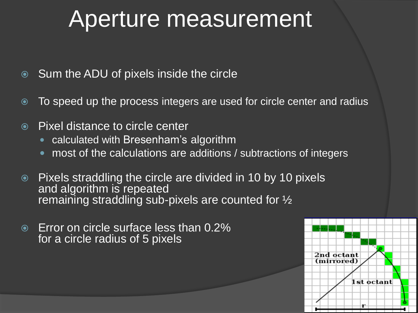## Aperture measurement

- **Sum the ADU of pixels inside the circle**
- To speed up the process integers are used for circle center and radius
- **■** Pixel distance to circle center
	- calculated with Bresenham's algorithm
	- most of the calculations are additions / subtractions of integers
- Pixels straddling the circle are divided in 10 by 10 pixels and algorithm is repeated remaining straddling sub-pixels are counted for  $\frac{1}{2}$
- Error on circle surface less than 0.2% for a circle radius of 5 pixels

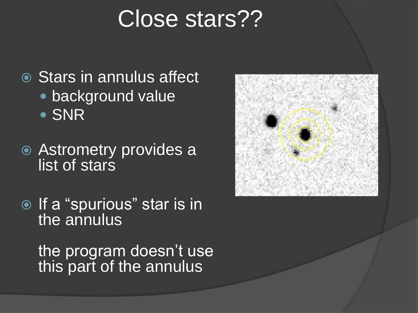## Close stars??

- **◎ Stars in annulus affect**  background value • SNR
- Astrometry provides a list of stars
- $\overline{\bullet}$  If a "spurious" star is in the annulus

the program doesn't use this part of the annulus

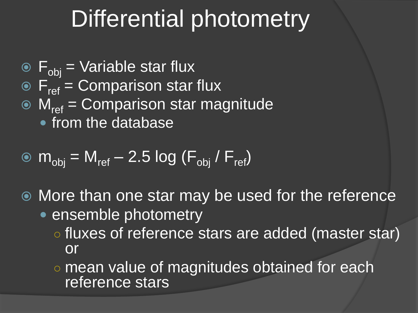## Differential photometry

- $\bullet$   $F_{obj}$  = Variable star flux
- $\odot$  F<sub>ref</sub> = Comparison star flux
- $\odot$  M<sub>ref</sub> = Comparison star magnitude
	- **from the database**

$$
\bullet \, m_{obj} = M_{ref} - 2.5 \log (F_{obj} / F_{ref})
$$

- More than one star may be used for the reference
	- ensemble photometry
		- o fluxes of reference stars are added (master star) or
		- mean value of magnitudes obtained for each reference stars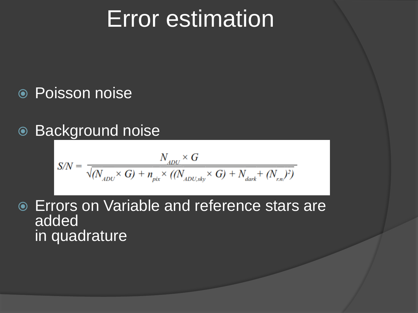## Error estimation

#### Poisson noise

#### ● Background noise

$$
S/N = \frac{N_{_{ADU}} \times G}{\sqrt{(N_{_{ADU}} \times G) + n_{_{pix}} \times ((N_{_{ADU,sky}} \times G) + N_{_{dark}} + (N_{_{nn}})^2)}}
$$

 Errors on Variable and reference stars are added in quadrature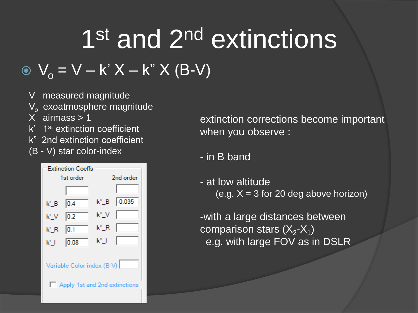# 1<sup>st</sup> and 2<sup>nd</sup> extinctions

### $V_0 = V - k' X - k'' X (B-V)$

- V measured magnitude
- $\mathsf{V}_{\mathsf{o}}^{\phantom{\dag}}$  exoatmosphere magnitude
- X airmass > 1
- k' 1st extinction coefficient
- k" 2nd extinction coefficient
- (B V) star color-index

| <b>Extinction Coeffs</b>      |           |      |           |  |  |  |  |
|-------------------------------|-----------|------|-----------|--|--|--|--|
|                               | 1st order |      | 2nd order |  |  |  |  |
|                               |           |      |           |  |  |  |  |
| k' B                          | 0.4       |      |           |  |  |  |  |
| k' V                          | 0.2       | k"_V |           |  |  |  |  |
| k'_R_                         | 0.1       | k"_R |           |  |  |  |  |
| $k^*$ . The $k^*$             | 0.08      | k" I |           |  |  |  |  |
| Variable Color index (B-V)    |           |      |           |  |  |  |  |
| Apply 1st and 2nd extinctions |           |      |           |  |  |  |  |

extinction corrections become important when you observe :

- in B band
- at low altitude (e.g.  $X = 3$  for 20 deg above horizon)

-with a large distances between comparison stars (X<sub>2</sub>-X<sub>1</sub>) e.g. with large FOV as in DSLR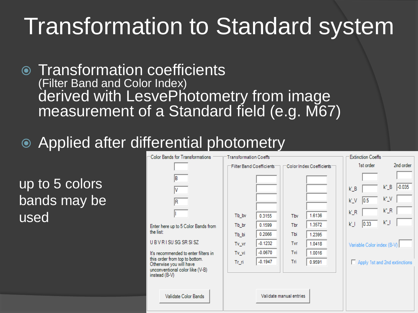## Transformation to Standard system

- Transformation coefficients (Filter Band and Color Index) derived with LesvePhotometry from image measurement of a Standard field (e.g. M67)
- Applied after differential photometry

up to 5 colors bands may be used

| -Color Bands for Transformations                                                                              | Transformation Coeffs |                           |                         |                          | <b>Extinction Coeffs</b>   |                                   |
|---------------------------------------------------------------------------------------------------------------|-----------------------|---------------------------|-------------------------|--------------------------|----------------------------|-----------------------------------|
|                                                                                                               |                       | Filter Band Coefficients: |                         | Color Index Coefficients | 1st order                  | 2nd order                         |
| IB<br>۷                                                                                                       |                       |                           |                         |                          | $k'_B$                     | $-0.035$<br>$k^{\prime\prime}$ _B |
| R                                                                                                             |                       |                           |                         |                          | 0.5 <br>$k^{\prime}N$      | $k''_y$                           |
|                                                                                                               | Tb_bv                 | 0.3155                    | Tby                     | 1.6136                   | $k_R$                      | $k^{\prime\prime}$ _R             |
| Enter here up to 5 Color Bands from                                                                           | Tb_br                 | 0.1599                    | Tbr                     | 1.3572                   | 0.33<br>k'_l               | $k^{\prime\prime}$ _J             |
| the list:                                                                                                     | Tb_bi                 | 0.2066                    | Tbi                     | 1.2395                   |                            |                                   |
| UBVRISUSGSRSISZ                                                                                               | Tv_vr                 | $-0.1232$                 | Tvr                     | 1.0418                   | Variable Color index (B-V) |                                   |
| It's recommended to enter filters in                                                                          | Tv_vi                 | $-0.0670$                 | Tvi                     | 1.0016                   |                            |                                   |
| this order from top to bottom.<br>Otherwise you will have<br>unconventional color like (V-B)<br>instead (B-V) | Tr ri                 | $-0.1947$                 | Tri                     | 0.9591                   |                            | Apply 1st and 2nd extinctions     |
| Validate Color Bands                                                                                          |                       |                           | Validate manual entries |                          |                            |                                   |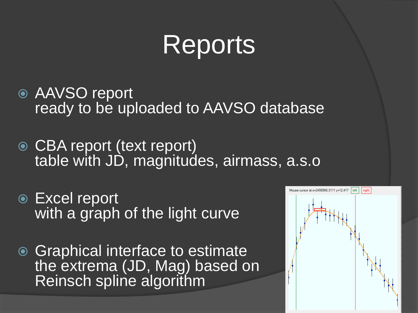# Reports

- AAVSO report ready to be uploaded to AAVSO database
- CBA report (text report) table with JD, magnitudes, airmass, a.s.o
- Excel report with a graph of the light curve
- **◎ Graphical interface to estimate** the extrema (JD, Mag) based on Reinsch spline algorithm

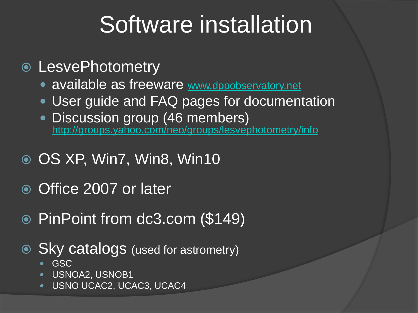## Software installation

#### LesvePhotometry

- available as freeware [www.dppobservatory.net](http://www.dppobservatory.net/)
- **User guide and FAQ pages for documentation**
- Discussion group (46 members) [http://groups.yahoo.com/neo/groups/lesvephotometry/info](http://www.dppobservatory.net/)
- OS XP, Win7, Win8, Win10
- Office 2007 or later
- PinPoint from dc3.com (\$149)
- Sky catalogs (used for astrometry)
	- GSC
	- **USNOA2, USNOB1**
	- USNO UCAC2, UCAC3, UCAC4